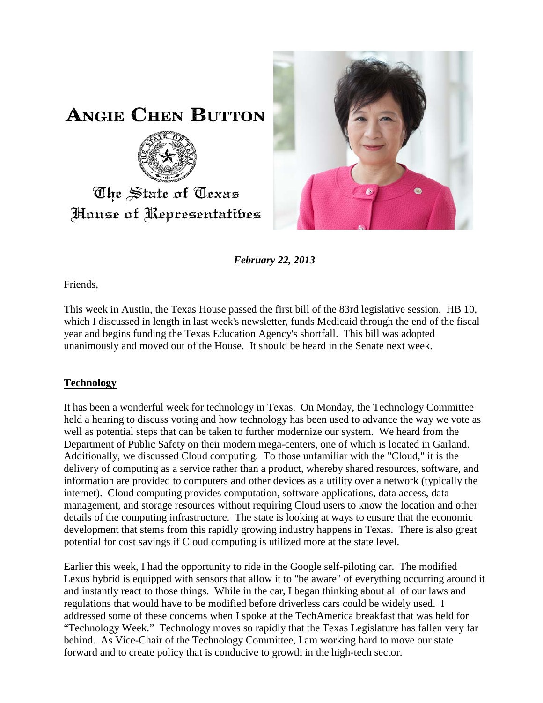

**ANGIE CHEN BUTTON** 



House of Representatibes

*February 22, 2013*

Friends,

This week in Austin, the Texas House passed the first bill of the 83rd legislative session. HB 10, which I discussed in length in last week's newsletter, funds Medicaid through the end of the fiscal year and begins funding the Texas Education Agency's shortfall. This bill was adopted unanimously and moved out of the House. It should be heard in the Senate next week.

## **Technology**

It has been a wonderful week for technology in Texas. On Monday, the Technology Committee held a hearing to discuss voting and how technology has been used to advance the way we vote as well as potential steps that can be taken to further modernize our system. We heard from the Department of Public Safety on their modern mega-centers, one of which is located in Garland. Additionally, we discussed Cloud computing. To those unfamiliar with the "Cloud," it is the delivery of computing as a service rather than a product, whereby shared resources, software, and information are provided to computers and other devices as a utility over a network (typically the internet). Cloud computing provides computation, software applications, data access, data management, and storage resources without requiring Cloud users to know the location and other details of the computing infrastructure. The state is looking at ways to ensure that the economic development that stems from this rapidly growing industry happens in Texas. There is also great potential for cost savings if Cloud computing is utilized more at the state level.

Earlier this week, I had the opportunity to ride in the Google self-piloting car. The modified Lexus hybrid is equipped with sensors that allow it to "be aware" of everything occurring around it and instantly react to those things. While in the car, I began thinking about all of our laws and regulations that would have to be modified before driverless cars could be widely used. I addressed some of these concerns when I spoke at the TechAmerica breakfast that was held for "Technology Week." Technology moves so rapidly that the Texas Legislature has fallen very far behind. As Vice-Chair of the Technology Committee, I am working hard to move our state forward and to create policy that is conducive to growth in the high-tech sector.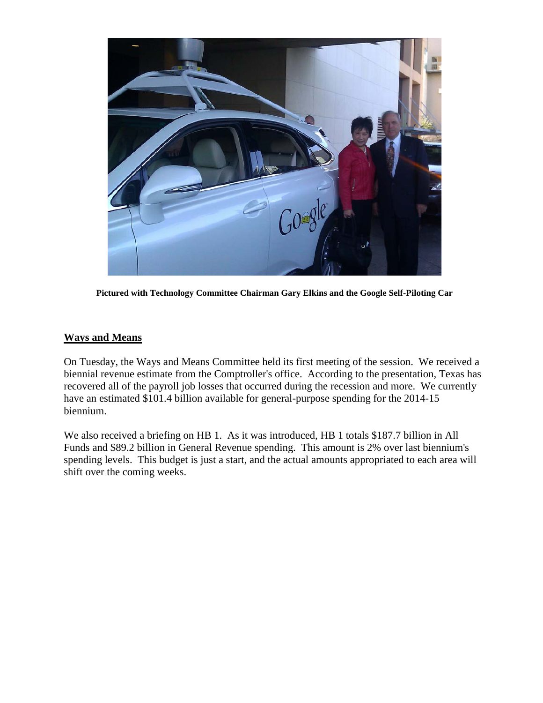

**Pictured with Technology Committee Chairman Gary Elkins and the Google Self-Piloting Car**

## **Ways and Means**

On Tuesday, the Ways and Means Committee held its first meeting of the session. We received a biennial revenue estimate from the Comptroller's office. According to the presentation, Texas has recovered all of the payroll job losses that occurred during the recession and more. We currently have an estimated \$101.4 billion available for general-purpose spending for the 2014-15 biennium.

We also received a briefing on HB 1. As it was introduced, HB 1 totals \$187.7 billion in All Funds and \$89.2 billion in General Revenue spending. This amount is 2% over last biennium's spending levels. This budget is just a start, and the actual amounts appropriated to each area will shift over the coming weeks.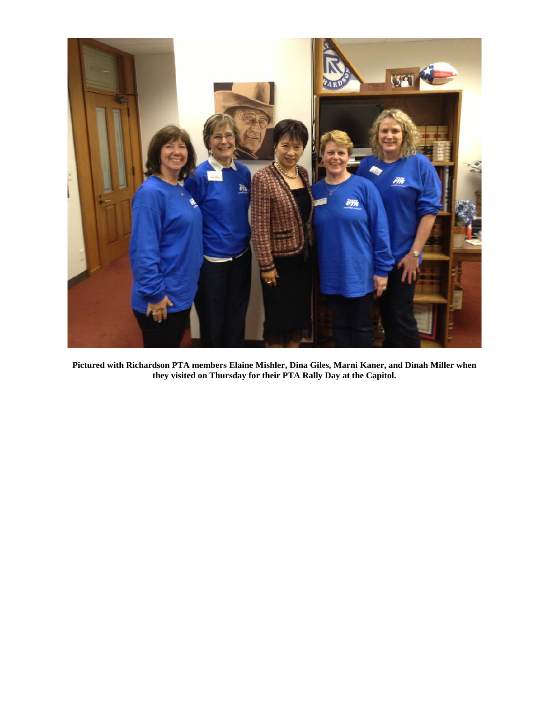

**Pictured with Richardson PTA members Elaine Mishler, Dina Giles, Marni Kaner, and Dinah Miller when they visited on Thursday for their PTA Rally Day at the Capitol.**